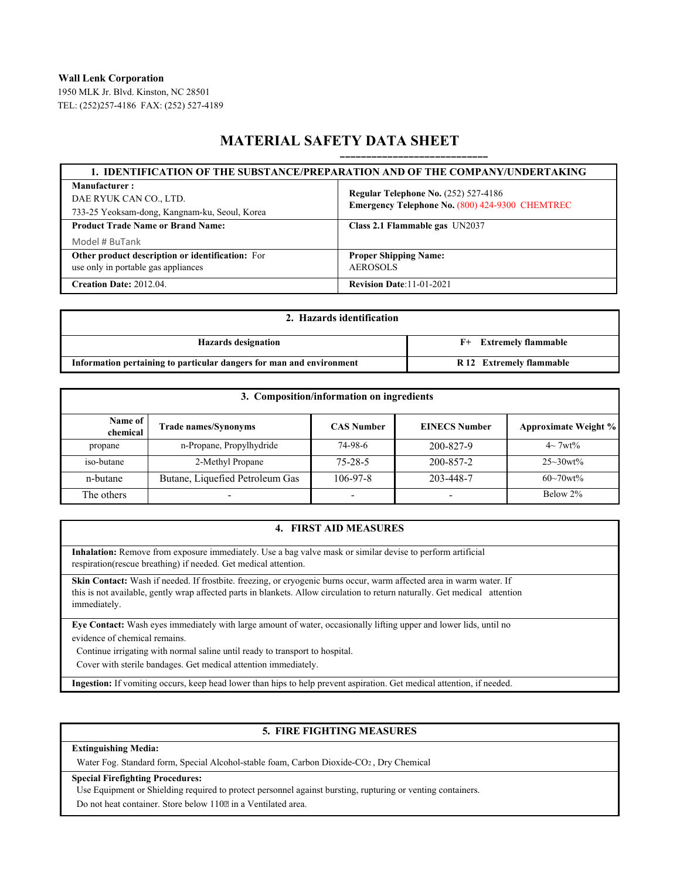**Wall Lenk Corporation**

1950 MLK Jr. Blvd. Kinston, NC 28501 TEL: (252)257-4186 FAX: (252) 527-4189

# **MATERIAL SAFETY DATA SHEET**

| 1. IDENTIFICATION OF THE SUBSTANCE/PREPARATION AND OF THE COMPANY/UNDERTAKING |                                                 |  |  |  |
|-------------------------------------------------------------------------------|-------------------------------------------------|--|--|--|
| Manufacturer:                                                                 | <b>Regular Telephone No. (252) 527-4186</b>     |  |  |  |
| DAE RYUK CAN CO., LTD.                                                        | Emergency Telephone No. (800) 424-9300 CHEMTREC |  |  |  |
| 733-25 Yeoksam-dong, Kangnam-ku, Seoul, Korea                                 |                                                 |  |  |  |
| <b>Product Trade Name or Brand Name:</b>                                      | Class 2.1 Flammable gas UN2037                  |  |  |  |
| Model # BuTank                                                                |                                                 |  |  |  |
| Other product description or identification: For                              | <b>Proper Shipping Name:</b>                    |  |  |  |
| use only in portable gas appliances                                           | <b>AEROSOLS</b>                                 |  |  |  |
| <b>Creation Date: 2012.04.</b>                                                | <b>Revision Date: 11-01-2021</b>                |  |  |  |

| 2. Hazards identification                                            |                          |  |  |  |
|----------------------------------------------------------------------|--------------------------|--|--|--|
| <b>Hazards designation</b>                                           | F+ Extremely flammable   |  |  |  |
| Information pertaining to particular dangers for man and environment | R 12 Extremely flammable |  |  |  |

| 3. Composition/information on ingredients |                                 |                   |                      |                                         |  |  |
|-------------------------------------------|---------------------------------|-------------------|----------------------|-----------------------------------------|--|--|
| Name of<br>chemical                       | <b>Trade names/Synonyms</b>     | <b>CAS Number</b> | <b>EINECS Number</b> | <b>Approximate Weight %</b>             |  |  |
| propane                                   | n-Propane, Propylhydride        | 74-98-6           | 200-827-9            | $4 \sim 7wt\%$                          |  |  |
| iso-butane                                | 2-Methyl Propane                | $75 - 28 - 5$     | 200-857-2            | $25 - 30wt\%$                           |  |  |
| n-butane                                  | Butane, Liquefied Petroleum Gas | $106 - 97 - 8$    | 203-448-7            | $60 - 70$ wt <sup><math>\%</math></sup> |  |  |
| The others                                | $\overline{\phantom{0}}$        |                   |                      | Below 2%                                |  |  |

### **4. FIRST AID MEASURES**

**Inhalation:** Remove from exposure immediately. Use a bag valve mask or similar devise to perform artificial respiration(rescue breathing) if needed. Get medical attention.

Skin Contact: Wash if needed. If frostbite. freezing, or cryogenic burns occur, warm affected area in warm water. If this is not available, gently wrap affected parts in blankets. Allow circulation to return naturally. Get medical attention immediately.

**Eye Contact:** Wash eyes immediately with large amount of water, occasionally lifting upper and lower lids, until no evidence of chemical remains.

Continue irrigating with normal saline until ready to transport to hospital.

Cover with sterile bandages. Get medical attention immediately.

**Ingestion:** If vomiting occurs, keep head lower than hips to help prevent aspiration. Get medical attention, if needed.

# **5. FIRE FIGHTING MEASURES**

**Extinguishing Media:** 

Water Fog. Standard form, Special Alcohol-stable foam, Carbon Dioxide-CO2 , Dry Chemical

#### **Special Firefighting Procedures:**

Use Equipment or Shielding required to protect personnel against bursting, rupturing or venting containers.

Do not heat container. Store below 1102 in a Ventilated area.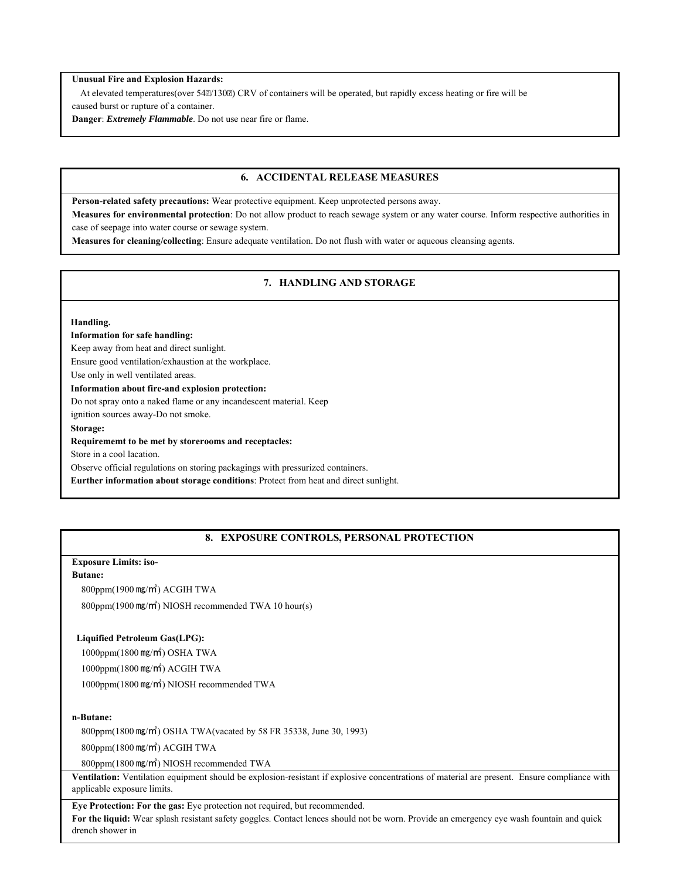#### **Unusual Fire and Explosion Hazards:**

At elevated temperatures(over 54 $\mathbb{Z}/130\mathbb{Z}$ ) CRV of containers will be operated, but rapidly excess heating or fire will be caused burst or rupture of a container.

**Danger**: *Extremely Flammable*. Do not use near fire or flame.

### **6. ACCIDENTAL RELEASE MEASURES**

**Person-related safety precautions:** Wear protective equipment. Keep unprotected persons away.

**Measures for environmental protection**: Do not allow product to reach sewage system or any water course. Inform respective authorities in case of seepage into water course or sewage system.

**Measures for cleaning/collecting**: Ensure adequate ventilation. Do not flush with water or aqueous cleansing agents.

### **7. HANDLING AND STORAGE**

#### **Handling.**

#### **Information for safe handling:**

Keep away from heat and direct sunlight.

Ensure good ventilation/exhaustion at the workplace.

Use only in well ventilated areas.

**Information about fire-and explosion protection:** 

Do not spray onto a naked flame or any incandescent material. Keep

ignition sources away-Do not smoke.

**Storage:** 

#### **Requirememt to be met by storerooms and receptacles:**

Store in a cool lacation.

Observe official regulations on storing packagings with pressurized containers.

**Eurther information about storage conditions**: Protect from heat and direct sunlight.

### **8. EXPOSURE CONTROLS, PERSONAL PROTECTION**

### **Exposure Limits: iso-**

#### **Butane:**

800ppm(1900 ㎎/㎥) ACGIH TWA

800ppm(1900 ㎎/㎥) NIOSH recommended TWA 10 hour(s)

#### **Liquified Petroleum Gas(LPG):**

 1000ppm(1800 ㎎/㎥) OSHA TWA 1000ppm(1800 ㎎/㎥) ACGIH TWA 1000ppm(1800 ㎎/㎥) NIOSH recommended TWA

#### **n-Butane:**

800ppm(1800 ㎎/㎥) OSHA TWA(vacated by 58 FR 35338, June 30, 1993)

800ppm(1800 ㎎/㎥) ACGIH TWA

800ppm(1800 ㎎/㎥) NIOSH recommended TWA

**Ventilation:** Ventilation equipment should be explosion-resistant if explosive concentrations of material are present. Ensure compliance with applicable exposure limits.

#### **Eye Protection: For the gas:** Eye protection not required, but recommended.

**For the liquid:** Wear splash resistant safety goggles. Contact lences should not be worn. Provide an emergency eye wash fountain and quick drench shower in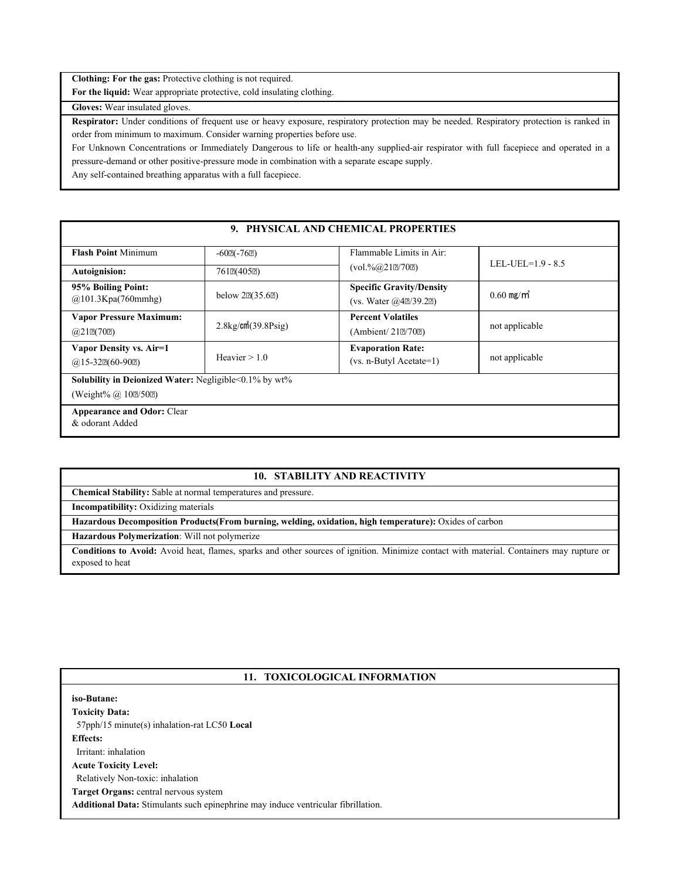**Clothing: For the gas:** Protective clothing is not required.

**For the liquid:** Wear appropriate protective, cold insulating clothing.

**Gloves:** Wear insulated gloves.

**Respirator:** Under conditions of frequent use or heavy exposure, respiratory protection may be needed. Respiratory protection is ranked in order from minimum to maximum. Consider warning properties before use.

For Unknown Concentrations or Immediately Dangerous to life or health-any supplied-air respirator with full facepiece and operated in a pressure-demand or other positive-pressure mode in combination with a separate escape supply.

Any self-contained breathing apparatus with a full facepiece.

# **9. PHYSICAL AND CHEMICAL PROPERTIES**

| <b>Flash Point Minimum</b>                                               | $-60$ <sub>2</sub> $(-76$ <sub>2</sub> ) | Flammable Limits in Air:        | LEL-UEL= $1.9 - 8.5$     |  |  |  |  |
|--------------------------------------------------------------------------|------------------------------------------|---------------------------------|--------------------------|--|--|--|--|
| <b>Autoignision:</b>                                                     | 761 <sub>2</sub> (405 <sub>2)</sub>      | $(vol. \% @ 212/702)$           |                          |  |  |  |  |
| 95% Boiling Point:                                                       | below $2\mathbb{P}(35.6\mathbb{P})$      | <b>Specific Gravity/Density</b> | $0.60$ mg/m <sup>3</sup> |  |  |  |  |
| @101.3Kpa(760mmlg)                                                       |                                          | (vs. Water $(a/42/39.22)$ )     |                          |  |  |  |  |
| <b>Vapor Pressure Maximum:</b>                                           | $2.8\text{kg/cm}^2(39.8\text{Psig})$     | <b>Percent Volatiles</b>        |                          |  |  |  |  |
| @212(702)                                                                |                                          | (Ambient/ 212/702)              | not applicable           |  |  |  |  |
| Vapor Density vs. Air=1                                                  |                                          | <b>Evaporation Rate:</b>        |                          |  |  |  |  |
| $(a)$ 15-32 $E(60-90E)$                                                  | Heavier $> 1.0$                          | $(vs. n-Butyl Acetate=1)$       | not applicable           |  |  |  |  |
| <b>Solubility in Deionized Water:</b> Negligible $\leq 0.1\%$ by wt $\%$ |                                          |                                 |                          |  |  |  |  |
| (Weight% $\omega$ 10 $\approx$ /50 $\approx$ )                           |                                          |                                 |                          |  |  |  |  |
| <b>Appearance and Odor: Clear</b>                                        |                                          |                                 |                          |  |  |  |  |
| & odorant Added                                                          |                                          |                                 |                          |  |  |  |  |

# **10. STABILITY AND REACTIVITY**

**Chemical Stability:** Sable at normal temperatures and pressure.

**Incompatibility:** Oxidizing materials

**Hazardous Decomposition Products(From burning, welding, oxidation, high temperature):** Oxides of carbon

**Hazardous Polymerization**: Will not polymerize

**Conditions to Avoid:** Avoid heat, flames, sparks and other sources of ignition. Minimize contact with material. Containers may rupture or exposed to heat

#### **11. TOXICOLOGICAL INFORMATION**

## **iso-Butane:**

**Toxicity Data:**  57pph/15 minute(s) inhalation-rat LC50 **Local Effects:**  Irritant: inhalation **Acute Toxicity Level:**  Relatively Non-toxic: inhalation **Target Organs:** central nervous system

**Additional Data:** Stimulants such epinephrine may induce ventricular fibrillation.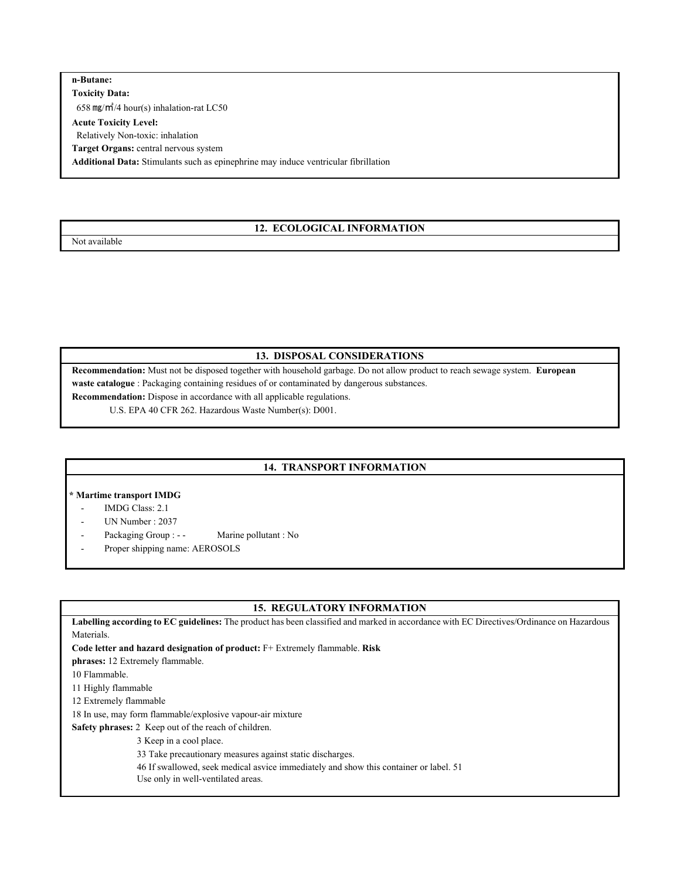### **n-Butane:**

**Toxicity Data:**  658 ㎎/㎥/4 hour(s) inhalation-rat LC50

#### **Acute Toxicity Level:**

Relatively Non-toxic: inhalation

**Target Organs:** central nervous system

**Additional Data:** Stimulants such as epinephrine may induce ventricular fibrillation

### **12. ECOLOGICAL INFORMATION**

Not available

### **13. DISPOSAL CONSIDERATIONS**

**Recommendation:** Must not be disposed together with household garbage. Do not allow product to reach sewage system. **European waste catalogue** : Packaging containing residues of or contaminated by dangerous substances.

**Recommendation:** Dispose in accordance with all applicable regulations.

U.S. EPA 40 CFR 262. Hazardous Waste Number(s): D001.

# **14. TRANSPORT INFORMATION**

### **\* Martime transport IMDG**

- IMDG Class: 2.1
- UN Number : 2037
- Packaging Group : - Marine pollutant : No
- Proper shipping name: AEROSOLS

### **15. REGULATORY INFORMATION**

**Labelling according to EC guidelines:** The product has been classified and marked in accordance with EC Directives/Ordinance on Hazardous Materials.

**Code letter and hazard designation of product:** F+ Extremely flammable. **Risk** 

**phrases:** 12 Extremely flammable.

10 Flammable.

11 Highly flammable

12 Extremely flammable

18 In use, may form flammable/explosive vapour-air mixture

**Safety phrases:** 2 Keep out of the reach of children.

3 Keep in a cool place.

33 Take precautionary measures against static discharges.

46 If swallowed, seek medical asvice immediately and show this container or label. 51

Use only in well-ventilated areas.